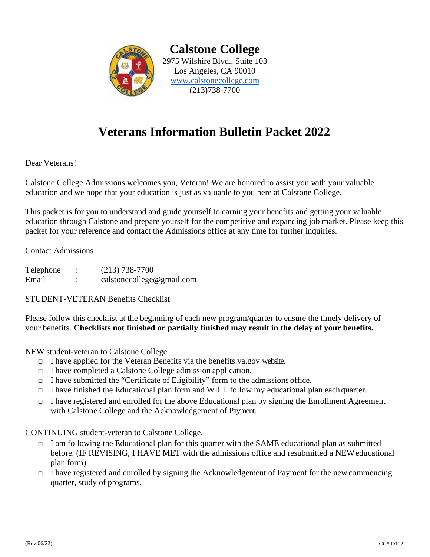

**Calstone College** 2975 Wilshire Blvd., Suite 103 Los Angeles, CA 90010 www.calstonecollege.com (213)738-7700

## **Veterans Information Bulletin Packet 2022**

Dear Veterans!

Calstone College Admissions welcomes you, Veteran! We are honored to assist you with your valuable education and we hope that your education is just as valuable to you here at Calstone College.

This packet is for you to understand and guide yourself to earning your benefits and getting your valuable education through Calstone and prepare yourself for the competitive and expanding job market. Please keep this packet for your reference and contact the Admissions office at any time for further inquiries.

Contact Admissions

Telephone : (213) 738-7700 Email : calstonecollege@gmail.com

#### STUDENT-VETERAN Benefits Checklist

Please follow this checklist at the beginning of each new program/quarter to ensure the timely delivery of your benefits. **Checklists not finished or partially finished may result in the delay of your benefits.**

NEW student-veteran to Calstone College

- $\Box$  I have applied for the Veteran Benefits via the benefits.va.gov website.
- □ I have completed a Calstone College admission application.
- $\Box$  I have submitted the "Certificate of Eligibility" form to the admissions office.
- $\Box$  I have finished the Educational plan form and WILL follow my educational plan each quarter.
- $\Box$  I have registered and enrolled for the above Educational plan by signing the Enrollment Agreement with Calstone College and the Acknowledgement of Payment.

CONTINUING student-veteran to Calstone College.

- $\Box$  I am following the Educational plan for this quarter with the SAME educational plan as submitted before. (IF REVISING, I HAVE MET with the admissions office and resubmitted a NEWeducational plan form)
- $\Box$  I have registered and enrolled by signing the Acknowledgement of Payment for the new commencing quarter, study of programs.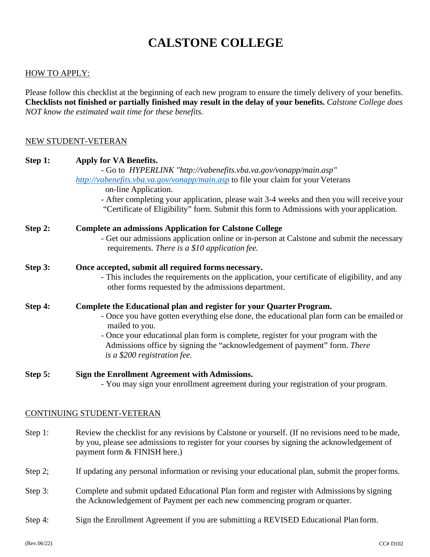#### HOW TO APPLY:

Please follow this checklist at the beginning of each new program to ensure the timely delivery of your benefits. **Checklists not finished or partially finished may result in the delay of your benefits.** *Calstone College does NOT know the estimated wait time for these benefits.*

#### NEW STUDENT-VETERAN

| Step 1: | Apply for VA Benefits.<br>- Go to HYPERLINK "http://vabenefits.vba.va.gov/vonapp/main.asp"<br>http://vabenefits.vba.va.gov/vonapp/main.asp to file your claim for your Veterans                                                   |                                                                                                                                                                                       |  |  |
|---------|-----------------------------------------------------------------------------------------------------------------------------------------------------------------------------------------------------------------------------------|---------------------------------------------------------------------------------------------------------------------------------------------------------------------------------------|--|--|
|         |                                                                                                                                                                                                                                   |                                                                                                                                                                                       |  |  |
|         |                                                                                                                                                                                                                                   |                                                                                                                                                                                       |  |  |
|         |                                                                                                                                                                                                                                   | - After completing your application, please wait 3-4 weeks and then you will receive your<br>"Certificate of Eligibility" form. Submit this form to Admissions with your application. |  |  |
| Step 2: | <b>Complete an admissions Application for Calstone College</b>                                                                                                                                                                    |                                                                                                                                                                                       |  |  |
|         | - Get our admissions application online or in-person at Calstone and submit the necessary<br>requirements. There is a \$10 application fee.                                                                                       |                                                                                                                                                                                       |  |  |
| Step 3: | Once accepted, submit all required forms necessary.                                                                                                                                                                               |                                                                                                                                                                                       |  |  |
|         | - This includes the requirements on the application, your certificate of eligibility, and any<br>other forms requested by the admissions department.                                                                              |                                                                                                                                                                                       |  |  |
| Step 4: | Complete the Educational plan and register for your Quarter Program.                                                                                                                                                              |                                                                                                                                                                                       |  |  |
|         | - Once you have gotten everything else done, the educational plan form can be emailed or<br>mailed to you.                                                                                                                        |                                                                                                                                                                                       |  |  |
|         | - Once your educational plan form is complete, register for your program with the<br>Admissions office by signing the "acknowledgement of payment" form. There<br>is a \$200 registration fee.                                    |                                                                                                                                                                                       |  |  |
| Step 5: | Sign the Enrollment Agreement with Admissions.                                                                                                                                                                                    |                                                                                                                                                                                       |  |  |
|         | - You may sign your enrollment agreement during your registration of your program.                                                                                                                                                |                                                                                                                                                                                       |  |  |
|         | CONTINUING STUDENT-VETERAN                                                                                                                                                                                                        |                                                                                                                                                                                       |  |  |
| Step 1: | Review the checklist for any revisions by Calstone or yourself. (If no revisions need to be made,<br>by you, please see admissions to register for your courses by signing the acknowledgement of<br>payment form & FINISH here.) |                                                                                                                                                                                       |  |  |
|         |                                                                                                                                                                                                                                   |                                                                                                                                                                                       |  |  |
| Step 2; | If updating any personal information or revising your educational plan, submit the proper forms.                                                                                                                                  |                                                                                                                                                                                       |  |  |
| Step 3: | Complete and submit updated Educational Plan form and register with Admissions by signing<br>the Acknowledgement of Payment per each new commencing program or quarter.                                                           |                                                                                                                                                                                       |  |  |

Step 4: Sign the Enrollment Agreement if you are submitting a REVISED Educational Plan form.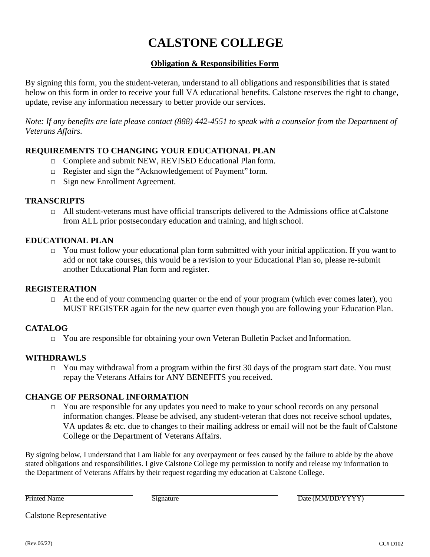#### **Obligation & Responsibilities Form**

By signing this form, you the student-veteran, understand to all obligations and responsibilities that is stated below on this form in order to receive your full VA educational benefits. Calstone reserves the right to change, update, revise any information necessary to better provide our services.

*Note: If any benefits are late please contact (888) 442-4551 to speak with a counselor from the Department of Veterans Affairs.*

#### **REQUIREMENTS TO CHANGING YOUR EDUCATIONAL PLAN**

- □ Complete and submit NEW, REVISED Educational Plan form.
- □ Register and sign the "Acknowledgement of Payment" form.
- □ Sign new Enrollment Agreement.

#### **TRANSCRIPTS**

 $\Box$  All student-veterans must have official transcripts delivered to the Admissions office at Calstone from ALL prior postsecondary education and training, and high school.

#### **EDUCATIONAL PLAN**

 $\Box$  You must follow your educational plan form submitted with your initial application. If you want to add or not take courses, this would be a revision to your Educational Plan so, please re-submit another Educational Plan form and register.

#### **REGISTERATION**

□ At the end of your commencing quarter or the end of your program (which ever comes later), you MUST REGISTER again for the new quarter even though you are following your EducationPlan.

#### **CATALOG**

□ You are responsible for obtaining your own Veteran Bulletin Packet and Information.

#### **WITHDRAWLS**

 $\Box$  You may withdrawal from a program within the first 30 days of the program start date. You must repay the Veterans Affairs for ANY BENEFITS you received.

#### **CHANGE OF PERSONAL INFORMATION**

□ You are responsible for any updates you need to make to your school records on any personal information changes. Please be advised, any student-veteran that does not receive school updates, VA updates  $\&$  etc. due to changes to their mailing address or email will not be the fault of Calstone College or the Department of Veterans Affairs.

By signing below, I understand that I am liable for any overpayment or fees caused by the failure to abide by the above stated obligations and responsibilities. I give Calstone College my permission to notify and release my information to the Department of Veterans Affairs by their request regarding my education at Calstone College.

Printed Name Signature Signature Date (MM/DD/YYYY)

Calstone Representative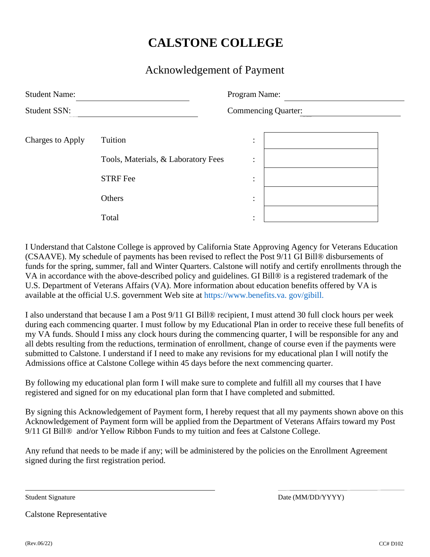### Acknowledgement of Payment

| <b>Student Name:</b>    |                                     | Program Name:<br><b>Commencing Quarter:</b> |  |  |
|-------------------------|-------------------------------------|---------------------------------------------|--|--|
| <b>Student SSN:</b>     |                                     |                                             |  |  |
| <b>Charges to Apply</b> | Tuition                             | $\bullet$<br>$\bullet$                      |  |  |
|                         | Tools, Materials, & Laboratory Fees | $\ddot{\cdot}$                              |  |  |
|                         | <b>STRF Fee</b>                     | $\bullet$<br>$\bullet$                      |  |  |
|                         | Others                              | $\bullet$<br>$\bullet$                      |  |  |
|                         | Total                               | ٠<br>$\bullet$                              |  |  |

I Understand that Calstone College is approved by California State Approving Agency for Veterans Education (CSAAVE). My schedule of payments has been revised to reflect the Post 9/11 GI Bill® disbursements of funds for the spring, summer, fall and Winter Quarters. Calstone will notify and certify enrollments through the VA in accordance with the above-described policy and guidelines. GI Bill® is a registered trademark of the U.S. Department of Veterans Affairs (VA). More information about education benefits offered by VA is available at the official U.S. government Web site at https://www.benefits.va. gov/gibill.

I also understand that because I am a Post 9/11 GI Bill® recipient, I must attend 30 full clock hours per week during each commencing quarter. I must follow by my Educational Plan in order to receive these full benefits of my VA funds. Should I miss any clock hours during the commencing quarter, I will be responsible for any and all debts resulting from the reductions, termination of enrollment, change of course even if the payments were submitted to Calstone. I understand if I need to make any revisions for my educational plan I will notify the Admissions office at Calstone College within 45 days before the next commencing quarter.

By following my educational plan form I will make sure to complete and fulfill all my courses that I have registered and signed for on my educational plan form that I have completed and submitted.

By signing this Acknowledgement of Payment form, I hereby request that all my payments shown above on this Acknowledgement of Payment form will be applied from the Department of Veterans Affairs toward my Post 9/11 GI Bill® and/or Yellow Ribbon Funds to my tuition and fees at Calstone College.

Any refund that needs to be made if any; will be administered by the policies on the Enrollment Agreement signed during the first registration period.

Student Signature Date (MM/DD/YYYY)

Calstone Representative